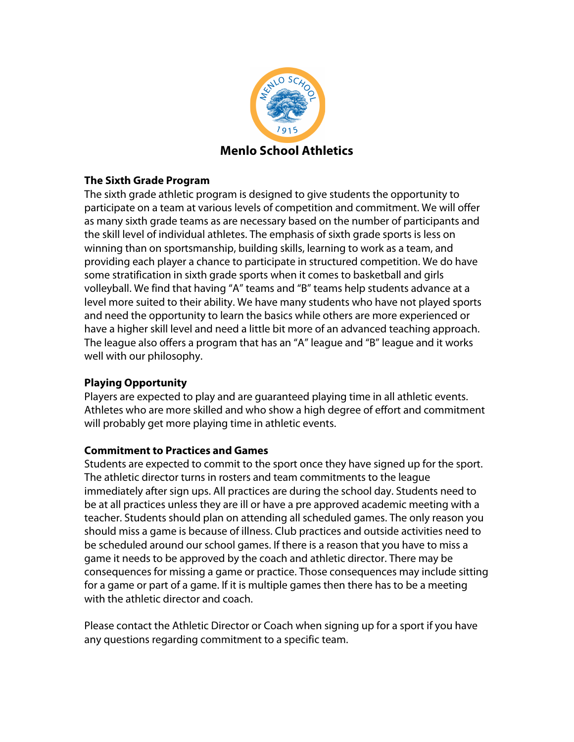

## **The Sixth Grade Program**

The sixth grade athletic program is designed to give students the opportunity to participate on a team at various levels of competition and commitment. We will offer as many sixth grade teams as are necessary based on the number of participants and the skill level of individual athletes. The emphasis of sixth grade sports is less on winning than on sportsmanship, building skills, learning to work as a team, and providing each player a chance to participate in structured competition. We do have some stratification in sixth grade sports when it comes to basketball and girls volleyball. We find that having "A" teams and "B" teams help students advance at a level more suited to their ability. We have many students who have not played sports and need the opportunity to learn the basics while others are more experienced or have a higher skill level and need a little bit more of an advanced teaching approach. The league also offers a program that has an "A" league and "B" league and it works well with our philosophy.

## **Playing Opportunity**

Players are expected to play and are guaranteed playing time in all athletic events. Athletes who are more skilled and who show a high degree of effort and commitment will probably get more playing time in athletic events.

## **Commitment to Practices and Games**

Students are expected to commit to the sport once they have signed up for the sport. The athletic director turns in rosters and team commitments to the league immediately after sign ups. All practices are during the school day. Students need to be at all practices unless they are ill or have a pre approved academic meeting with a teacher. Students should plan on attending all scheduled games. The only reason you should miss a game is because of illness. Club practices and outside activities need to be scheduled around our school games. If there is a reason that you have to miss a game it needs to be approved by the coach and athletic director. There may be consequences for missing a game or practice. Those consequences may include sitting for a game or part of a game. If it is multiple games then there has to be a meeting with the athletic director and coach.

Please contact the Athletic Director or Coach when signing up for a sport if you have any questions regarding commitment to a specific team.